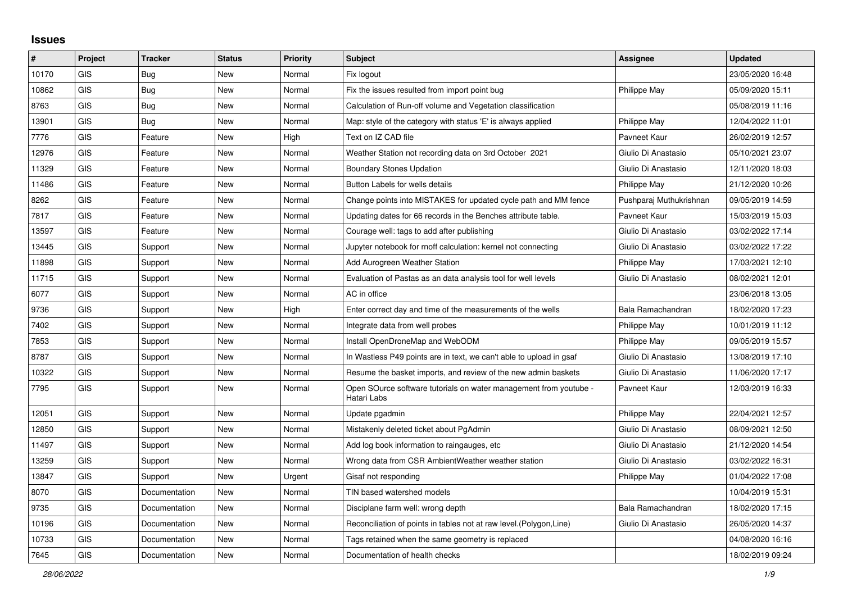## **Issues**

| #     | Project    | <b>Tracker</b> | <b>Status</b> | <b>Priority</b> | <b>Subject</b>                                                                   | Assignee                | <b>Updated</b>   |
|-------|------------|----------------|---------------|-----------------|----------------------------------------------------------------------------------|-------------------------|------------------|
| 10170 | GIS        | Bug            | <b>New</b>    | Normal          | Fix logout                                                                       |                         | 23/05/2020 16:48 |
| 10862 | <b>GIS</b> | Bug            | <b>New</b>    | Normal          | Fix the issues resulted from import point bug                                    | Philippe May            | 05/09/2020 15:11 |
| 8763  | GIS        | <b>Bug</b>     | <b>New</b>    | Normal          | Calculation of Run-off volume and Vegetation classification                      |                         | 05/08/2019 11:16 |
| 13901 | <b>GIS</b> | <b>Bug</b>     | <b>New</b>    | Normal          | Map: style of the category with status 'E' is always applied                     | Philippe May            | 12/04/2022 11:01 |
| 7776  | GIS        | Feature        | <b>New</b>    | High            | Text on IZ CAD file                                                              | Pavneet Kaur            | 26/02/2019 12:57 |
| 12976 | GIS        | Feature        | <b>New</b>    | Normal          | Weather Station not recording data on 3rd October 2021                           | Giulio Di Anastasio     | 05/10/2021 23:07 |
| 11329 | <b>GIS</b> | Feature        | New           | Normal          | <b>Boundary Stones Updation</b>                                                  | Giulio Di Anastasio     | 12/11/2020 18:03 |
| 11486 | <b>GIS</b> | Feature        | <b>New</b>    | Normal          | Button Labels for wells details                                                  | Philippe May            | 21/12/2020 10:26 |
| 8262  | <b>GIS</b> | Feature        | <b>New</b>    | Normal          | Change points into MISTAKES for updated cycle path and MM fence                  | Pushparaj Muthukrishnan | 09/05/2019 14:59 |
| 7817  | GIS        | Feature        | <b>New</b>    | Normal          | Updating dates for 66 records in the Benches attribute table.                    | Pavneet Kaur            | 15/03/2019 15:03 |
| 13597 | <b>GIS</b> | Feature        | <b>New</b>    | Normal          | Courage well: tags to add after publishing                                       | Giulio Di Anastasio     | 03/02/2022 17:14 |
| 13445 | GIS        | Support        | New           | Normal          | Jupyter notebook for rnoff calculation: kernel not connecting                    | Giulio Di Anastasio     | 03/02/2022 17:22 |
| 11898 | GIS        | Support        | <b>New</b>    | Normal          | Add Aurogreen Weather Station                                                    | Philippe May            | 17/03/2021 12:10 |
| 11715 | <b>GIS</b> | Support        | <b>New</b>    | Normal          | Evaluation of Pastas as an data analysis tool for well levels                    | Giulio Di Anastasio     | 08/02/2021 12:01 |
| 6077  | <b>GIS</b> | Support        | <b>New</b>    | Normal          | AC in office                                                                     |                         | 23/06/2018 13:05 |
| 9736  | GIS        | Support        | New           | High            | Enter correct day and time of the measurements of the wells                      | Bala Ramachandran       | 18/02/2020 17:23 |
| 7402  | <b>GIS</b> | Support        | New           | Normal          | Integrate data from well probes                                                  | Philippe May            | 10/01/2019 11:12 |
| 7853  | GIS        | Support        | <b>New</b>    | Normal          | Install OpenDroneMap and WebODM                                                  | <b>Philippe May</b>     | 09/05/2019 15:57 |
| 8787  | GIS        | Support        | <b>New</b>    | Normal          | In Wastless P49 points are in text, we can't able to upload in gsaf              | Giulio Di Anastasio     | 13/08/2019 17:10 |
| 10322 | GIS        | Support        | New           | Normal          | Resume the basket imports, and review of the new admin baskets                   | Giulio Di Anastasio     | 11/06/2020 17:17 |
| 7795  | <b>GIS</b> | Support        | <b>New</b>    | Normal          | Open SOurce software tutorials on water management from youtube -<br>Hatari Labs | Pavneet Kaur            | 12/03/2019 16:33 |
| 12051 | <b>GIS</b> | Support        | New           | Normal          | Update pgadmin                                                                   | Philippe May            | 22/04/2021 12:57 |
| 12850 | <b>GIS</b> | Support        | <b>New</b>    | Normal          | Mistakenly deleted ticket about PgAdmin                                          | Giulio Di Anastasio     | 08/09/2021 12:50 |
| 11497 | <b>GIS</b> | Support        | <b>New</b>    | Normal          | Add log book information to raingauges, etc.                                     | Giulio Di Anastasio     | 21/12/2020 14:54 |
| 13259 | GIS        | Support        | New           | Normal          | Wrong data from CSR AmbientWeather weather station                               | Giulio Di Anastasio     | 03/02/2022 16:31 |
| 13847 | <b>GIS</b> | Support        | New           | Urgent          | Gisaf not responding                                                             | Philippe May            | 01/04/2022 17:08 |
| 8070  | GIS        | Documentation  | New           | Normal          | TIN based watershed models                                                       |                         | 10/04/2019 15:31 |
| 9735  | GIS        | Documentation  | <b>New</b>    | Normal          | Disciplane farm well: wrong depth                                                | Bala Ramachandran       | 18/02/2020 17:15 |
| 10196 | <b>GIS</b> | Documentation  | New           | Normal          | Reconciliation of points in tables not at raw level.(Polygon,Line)               | Giulio Di Anastasio     | 26/05/2020 14:37 |
| 10733 | GIS        | Documentation  | New           | Normal          | Tags retained when the same geometry is replaced                                 |                         | 04/08/2020 16:16 |
| 7645  | GIS        | Documentation  | New           | Normal          | Documentation of health checks                                                   |                         | 18/02/2019 09:24 |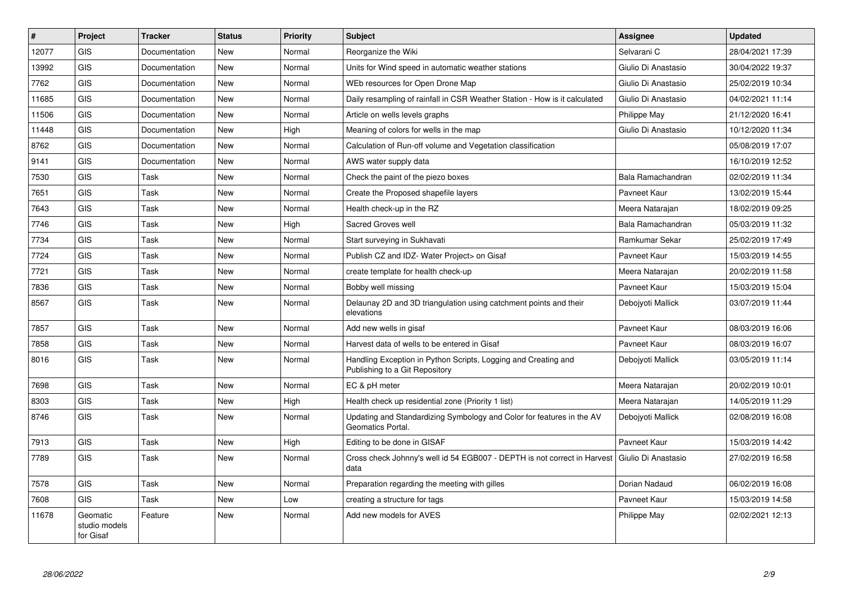| #     | Project                                | <b>Tracker</b> | <b>Status</b> | <b>Priority</b> | <b>Subject</b>                                                                                   | Assignee            | <b>Updated</b>   |
|-------|----------------------------------------|----------------|---------------|-----------------|--------------------------------------------------------------------------------------------------|---------------------|------------------|
| 12077 | GIS                                    | Documentation  | <b>New</b>    | Normal          | Reorganize the Wiki                                                                              | Selvarani C         | 28/04/2021 17:39 |
| 13992 | <b>GIS</b>                             | Documentation  | <b>New</b>    | Normal          | Units for Wind speed in automatic weather stations                                               | Giulio Di Anastasio | 30/04/2022 19:37 |
| 7762  | <b>GIS</b>                             | Documentation  | <b>New</b>    | Normal          | WEb resources for Open Drone Map                                                                 | Giulio Di Anastasio | 25/02/2019 10:34 |
| 11685 | <b>GIS</b>                             | Documentation  | <b>New</b>    | Normal          | Daily resampling of rainfall in CSR Weather Station - How is it calculated                       | Giulio Di Anastasio | 04/02/2021 11:14 |
| 11506 | <b>GIS</b>                             | Documentation  | <b>New</b>    | Normal          | Article on wells levels graphs                                                                   | Philippe May        | 21/12/2020 16:41 |
| 11448 | <b>GIS</b>                             | Documentation  | <b>New</b>    | High            | Meaning of colors for wells in the map                                                           | Giulio Di Anastasio | 10/12/2020 11:34 |
| 8762  | <b>GIS</b>                             | Documentation  | New           | Normal          | Calculation of Run-off volume and Vegetation classification                                      |                     | 05/08/2019 17:07 |
| 9141  | <b>GIS</b>                             | Documentation  | <b>New</b>    | Normal          | AWS water supply data                                                                            |                     | 16/10/2019 12:52 |
| 7530  | <b>GIS</b>                             | Task           | <b>New</b>    | Normal          | Check the paint of the piezo boxes                                                               | Bala Ramachandran   | 02/02/2019 11:34 |
| 7651  | <b>GIS</b>                             | Task           | <b>New</b>    | Normal          | Create the Proposed shapefile layers                                                             | Payneet Kaur        | 13/02/2019 15:44 |
| 7643  | <b>GIS</b>                             | Task           | New           | Normal          | Health check-up in the RZ                                                                        | Meera Natarajan     | 18/02/2019 09:25 |
| 7746  | <b>GIS</b>                             | Task           | <b>New</b>    | High            | Sacred Groves well                                                                               | Bala Ramachandran   | 05/03/2019 11:32 |
| 7734  | <b>GIS</b>                             | Task           | New           | Normal          | Start surveying in Sukhavati                                                                     | Ramkumar Sekar      | 25/02/2019 17:49 |
| 7724  | <b>GIS</b>                             | Task           | <b>New</b>    | Normal          | Publish CZ and IDZ- Water Project> on Gisaf                                                      | Pavneet Kaur        | 15/03/2019 14:55 |
| 7721  | <b>GIS</b>                             | Task           | New           | Normal          | create template for health check-up                                                              | Meera Natarajan     | 20/02/2019 11:58 |
| 7836  | <b>GIS</b>                             | Task           | <b>New</b>    | Normal          | Bobby well missing                                                                               | Pavneet Kaur        | 15/03/2019 15:04 |
| 8567  | <b>GIS</b>                             | Task           | <b>New</b>    | Normal          | Delaunay 2D and 3D triangulation using catchment points and their<br>elevations                  | Debojyoti Mallick   | 03/07/2019 11:44 |
| 7857  | <b>GIS</b>                             | Task           | <b>New</b>    | Normal          | Add new wells in gisaf                                                                           | Pavneet Kaur        | 08/03/2019 16:06 |
| 7858  | GIS                                    | Task           | <b>New</b>    | Normal          | Harvest data of wells to be entered in Gisaf                                                     | Payneet Kaur        | 08/03/2019 16:07 |
| 8016  | <b>GIS</b>                             | Task           | New           | Normal          | Handling Exception in Python Scripts, Logging and Creating and<br>Publishing to a Git Repository | Debojyoti Mallick   | 03/05/2019 11:14 |
| 7698  | <b>GIS</b>                             | Task           | <b>New</b>    | Normal          | EC & pH meter                                                                                    | Meera Natarajan     | 20/02/2019 10:01 |
| 8303  | <b>GIS</b>                             | Task           | New           | High            | Health check up residential zone (Priority 1 list)                                               | Meera Natarajan     | 14/05/2019 11:29 |
| 8746  | <b>GIS</b>                             | Task           | <b>New</b>    | Normal          | Updating and Standardizing Symbology and Color for features in the AV<br>Geomatics Portal.       | Debojyoti Mallick   | 02/08/2019 16:08 |
| 7913  | <b>GIS</b>                             | Task           | <b>New</b>    | High            | Editing to be done in GISAF                                                                      | Pavneet Kaur        | 15/03/2019 14:42 |
| 7789  | <b>GIS</b>                             | Task           | <b>New</b>    | Normal          | Cross check Johnny's well id 54 EGB007 - DEPTH is not correct in Harvest<br>data                 | Giulio Di Anastasio | 27/02/2019 16:58 |
| 7578  | <b>GIS</b>                             | Task           | <b>New</b>    | Normal          | Preparation regarding the meeting with gilles                                                    | Dorian Nadaud       | 06/02/2019 16:08 |
| 7608  | <b>GIS</b>                             | Task           | <b>New</b>    | Low             | creating a structure for tags                                                                    | Pavneet Kaur        | 15/03/2019 14:58 |
| 11678 | Geomatic<br>studio models<br>for Gisaf | Feature        | New           | Normal          | Add new models for AVES                                                                          | Philippe May        | 02/02/2021 12:13 |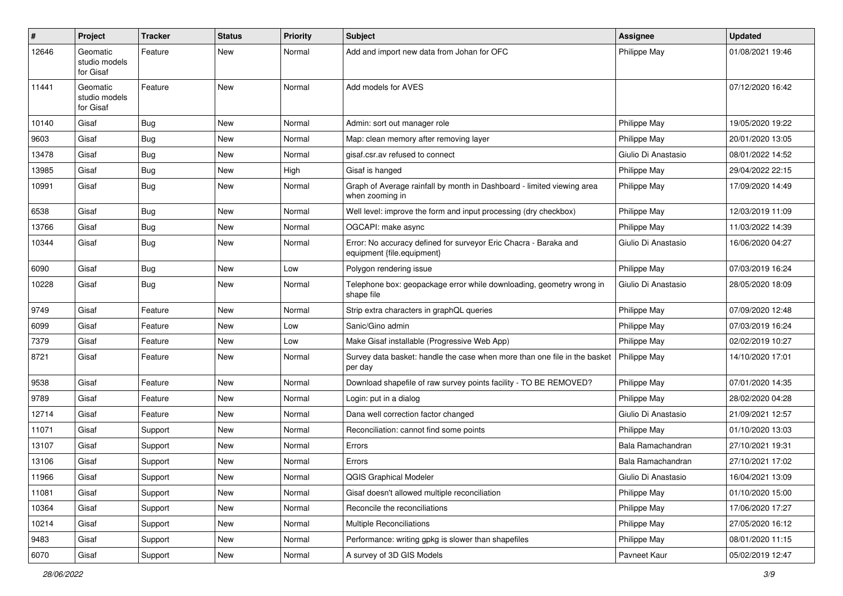| #     | Project                                | <b>Tracker</b> | <b>Status</b> | <b>Priority</b> | <b>Subject</b>                                                                                 | Assignee            | <b>Updated</b>   |
|-------|----------------------------------------|----------------|---------------|-----------------|------------------------------------------------------------------------------------------------|---------------------|------------------|
| 12646 | Geomatic<br>studio models<br>for Gisaf | Feature        | New           | Normal          | Add and import new data from Johan for OFC                                                     | Philippe May        | 01/08/2021 19:46 |
| 11441 | Geomatic<br>studio models<br>for Gisaf | Feature        | New           | Normal          | Add models for AVES                                                                            |                     | 07/12/2020 16:42 |
| 10140 | Gisaf                                  | Bug            | <b>New</b>    | Normal          | Admin: sort out manager role                                                                   | Philippe May        | 19/05/2020 19:22 |
| 9603  | Gisaf                                  | Bug            | New           | Normal          | Map: clean memory after removing layer                                                         | Philippe May        | 20/01/2020 13:05 |
| 13478 | Gisaf                                  | <b>Bug</b>     | New           | Normal          | gisaf.csr.av refused to connect                                                                | Giulio Di Anastasio | 08/01/2022 14:52 |
| 13985 | Gisaf                                  | Bug            | New           | High            | Gisaf is hanged                                                                                | Philippe May        | 29/04/2022 22:15 |
| 10991 | Gisaf                                  | <b>Bug</b>     | New           | Normal          | Graph of Average rainfall by month in Dashboard - limited viewing area<br>when zooming in      | <b>Philippe May</b> | 17/09/2020 14:49 |
| 6538  | Gisaf                                  | Bug            | <b>New</b>    | Normal          | Well level: improve the form and input processing (dry checkbox)                               | Philippe May        | 12/03/2019 11:09 |
| 13766 | Gisaf                                  | Bug            | New           | Normal          | OGCAPI: make async                                                                             | Philippe May        | 11/03/2022 14:39 |
| 10344 | Gisaf                                  | Bug            | New           | Normal          | Error: No accuracy defined for surveyor Eric Chacra - Baraka and<br>equipment {file.equipment} | Giulio Di Anastasio | 16/06/2020 04:27 |
| 6090  | Gisaf                                  | Bug            | New           | Low             | Polygon rendering issue                                                                        | Philippe May        | 07/03/2019 16:24 |
| 10228 | Gisaf                                  | Bug            | <b>New</b>    | Normal          | Telephone box: geopackage error while downloading, geometry wrong in<br>shape file             | Giulio Di Anastasio | 28/05/2020 18:09 |
| 9749  | Gisaf                                  | Feature        | New           | Normal          | Strip extra characters in graphQL queries                                                      | Philippe May        | 07/09/2020 12:48 |
| 6099  | Gisaf                                  | Feature        | <b>New</b>    | Low             | Sanic/Gino admin                                                                               | Philippe May        | 07/03/2019 16:24 |
| 7379  | Gisaf                                  | Feature        | New           | Low             | Make Gisaf installable (Progressive Web App)                                                   | Philippe May        | 02/02/2019 10:27 |
| 8721  | Gisaf                                  | Feature        | New           | Normal          | Survey data basket: handle the case when more than one file in the basket<br>per day           | Philippe May        | 14/10/2020 17:01 |
| 9538  | Gisaf                                  | Feature        | <b>New</b>    | Normal          | Download shapefile of raw survey points facility - TO BE REMOVED?                              | Philippe May        | 07/01/2020 14:35 |
| 9789  | Gisaf                                  | Feature        | <b>New</b>    | Normal          | Login: put in a dialog                                                                         | Philippe May        | 28/02/2020 04:28 |
| 12714 | Gisaf                                  | Feature        | New           | Normal          | Dana well correction factor changed                                                            | Giulio Di Anastasio | 21/09/2021 12:57 |
| 11071 | Gisaf                                  | Support        | New           | Normal          | Reconciliation: cannot find some points                                                        | Philippe May        | 01/10/2020 13:03 |
| 13107 | Gisaf                                  | Support        | New           | Normal          | Errors                                                                                         | Bala Ramachandran   | 27/10/2021 19:31 |
| 13106 | Gisaf                                  | Support        | New           | Normal          | Errors                                                                                         | Bala Ramachandran   | 27/10/2021 17:02 |
| 11966 | Gisaf                                  | Support        | New           | Normal          | QGIS Graphical Modeler                                                                         | Giulio Di Anastasio | 16/04/2021 13:09 |
| 11081 | Gisaf                                  | Support        | New           | Normal          | Gisaf doesn't allowed multiple reconciliation                                                  | Philippe May        | 01/10/2020 15:00 |
| 10364 | Gisaf                                  | Support        | New           | Normal          | Reconcile the reconciliations                                                                  | Philippe May        | 17/06/2020 17:27 |
| 10214 | Gisaf                                  | Support        | New           | Normal          | Multiple Reconciliations                                                                       | Philippe May        | 27/05/2020 16:12 |
| 9483  | Gisaf                                  | Support        | New           | Normal          | Performance: writing gpkg is slower than shapefiles                                            | Philippe May        | 08/01/2020 11:15 |
| 6070  | Gisaf                                  | Support        | New           | Normal          | A survey of 3D GIS Models                                                                      | Pavneet Kaur        | 05/02/2019 12:47 |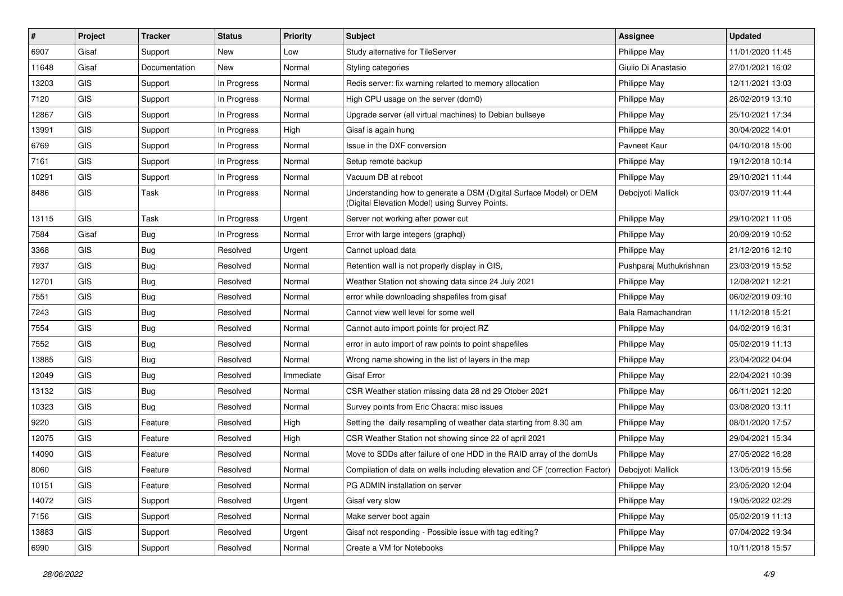| $\#$  | Project    | <b>Tracker</b> | <b>Status</b> | <b>Priority</b> | Subject                                                                                                              | <b>Assignee</b>         | <b>Updated</b>   |
|-------|------------|----------------|---------------|-----------------|----------------------------------------------------------------------------------------------------------------------|-------------------------|------------------|
| 6907  | Gisaf      | Support        | New           | Low             | Study alternative for TileServer                                                                                     | Philippe May            | 11/01/2020 11:45 |
| 11648 | Gisaf      | Documentation  | New           | Normal          | Styling categories                                                                                                   | Giulio Di Anastasio     | 27/01/2021 16:02 |
| 13203 | <b>GIS</b> | Support        | In Progress   | Normal          | Redis server: fix warning relarted to memory allocation                                                              | Philippe May            | 12/11/2021 13:03 |
| 7120  | <b>GIS</b> | Support        | In Progress   | Normal          | High CPU usage on the server (dom0)                                                                                  | Philippe May            | 26/02/2019 13:10 |
| 12867 | <b>GIS</b> | Support        | In Progress   | Normal          | Upgrade server (all virtual machines) to Debian bullseye                                                             | Philippe May            | 25/10/2021 17:34 |
| 13991 | <b>GIS</b> | Support        | In Progress   | High            | Gisaf is again hung                                                                                                  | Philippe May            | 30/04/2022 14:01 |
| 6769  | <b>GIS</b> | Support        | In Progress   | Normal          | Issue in the DXF conversion                                                                                          | Payneet Kaur            | 04/10/2018 15:00 |
| 7161  | <b>GIS</b> | Support        | In Progress   | Normal          | Setup remote backup                                                                                                  | Philippe May            | 19/12/2018 10:14 |
| 10291 | GIS        | Support        | In Progress   | Normal          | Vacuum DB at reboot                                                                                                  | Philippe May            | 29/10/2021 11:44 |
| 8486  | <b>GIS</b> | Task           | In Progress   | Normal          | Understanding how to generate a DSM (Digital Surface Model) or DEM<br>(Digital Elevation Model) using Survey Points. | Debojyoti Mallick       | 03/07/2019 11:44 |
| 13115 | <b>GIS</b> | Task           | In Progress   | Urgent          | Server not working after power cut                                                                                   | Philippe May            | 29/10/2021 11:05 |
| 7584  | Gisaf      | <b>Bug</b>     | In Progress   | Normal          | Error with large integers (graphql)                                                                                  | Philippe May            | 20/09/2019 10:52 |
| 3368  | <b>GIS</b> | Bug            | Resolved      | Urgent          | Cannot upload data                                                                                                   | Philippe May            | 21/12/2016 12:10 |
| 7937  | <b>GIS</b> | Bug            | Resolved      | Normal          | Retention wall is not properly display in GIS,                                                                       | Pushparaj Muthukrishnan | 23/03/2019 15:52 |
| 12701 | <b>GIS</b> | <b>Bug</b>     | Resolved      | Normal          | Weather Station not showing data since 24 July 2021                                                                  | Philippe May            | 12/08/2021 12:21 |
| 7551  | GIS        | <b>Bug</b>     | Resolved      | Normal          | error while downloading shapefiles from gisaf                                                                        | Philippe May            | 06/02/2019 09:10 |
| 7243  | <b>GIS</b> | Bug            | Resolved      | Normal          | Cannot view well level for some well                                                                                 | Bala Ramachandran       | 11/12/2018 15:21 |
| 7554  | <b>GIS</b> | <b>Bug</b>     | Resolved      | Normal          | Cannot auto import points for project RZ                                                                             | Philippe May            | 04/02/2019 16:31 |
| 7552  | <b>GIS</b> | <b>Bug</b>     | Resolved      | Normal          | error in auto import of raw points to point shapefiles                                                               | Philippe May            | 05/02/2019 11:13 |
| 13885 | <b>GIS</b> | <b>Bug</b>     | Resolved      | Normal          | Wrong name showing in the list of layers in the map                                                                  | Philippe May            | 23/04/2022 04:04 |
| 12049 | GIS        | Bug            | Resolved      | Immediate       | <b>Gisaf Error</b>                                                                                                   | Philippe May            | 22/04/2021 10:39 |
| 13132 | <b>GIS</b> | <b>Bug</b>     | Resolved      | Normal          | CSR Weather station missing data 28 nd 29 Otober 2021                                                                | Philippe May            | 06/11/2021 12:20 |
| 10323 | <b>GIS</b> | <b>Bug</b>     | Resolved      | Normal          | Survey points from Eric Chacra: misc issues                                                                          | Philippe May            | 03/08/2020 13:11 |
| 9220  | <b>GIS</b> | Feature        | Resolved      | High            | Setting the daily resampling of weather data starting from 8.30 am                                                   | Philippe May            | 08/01/2020 17:57 |
| 12075 | <b>GIS</b> | Feature        | Resolved      | High            | CSR Weather Station not showing since 22 of april 2021                                                               | Philippe May            | 29/04/2021 15:34 |
| 14090 | GIS        | Feature        | Resolved      | Normal          | Move to SDDs after failure of one HDD in the RAID array of the domUs                                                 | Philippe May            | 27/05/2022 16:28 |
| 8060  | <b>GIS</b> | Feature        | Resolved      | Normal          | Compilation of data on wells including elevation and CF (correction Factor)                                          | Deboivoti Mallick       | 13/05/2019 15:56 |
| 10151 | GIS        | Feature        | Resolved      | Normal          | PG ADMIN installation on server                                                                                      | Philippe May            | 23/05/2020 12:04 |
| 14072 | GIS        | Support        | Resolved      | Urgent          | Gisaf very slow                                                                                                      | Philippe May            | 19/05/2022 02:29 |
| 7156  | GIS        | Support        | Resolved      | Normal          | Make server boot again                                                                                               | Philippe May            | 05/02/2019 11:13 |
| 13883 | GIS        | Support        | Resolved      | Urgent          | Gisaf not responding - Possible issue with tag editing?                                                              | Philippe May            | 07/04/2022 19:34 |
| 6990  | GIS        | Support        | Resolved      | Normal          | Create a VM for Notebooks                                                                                            | Philippe May            | 10/11/2018 15:57 |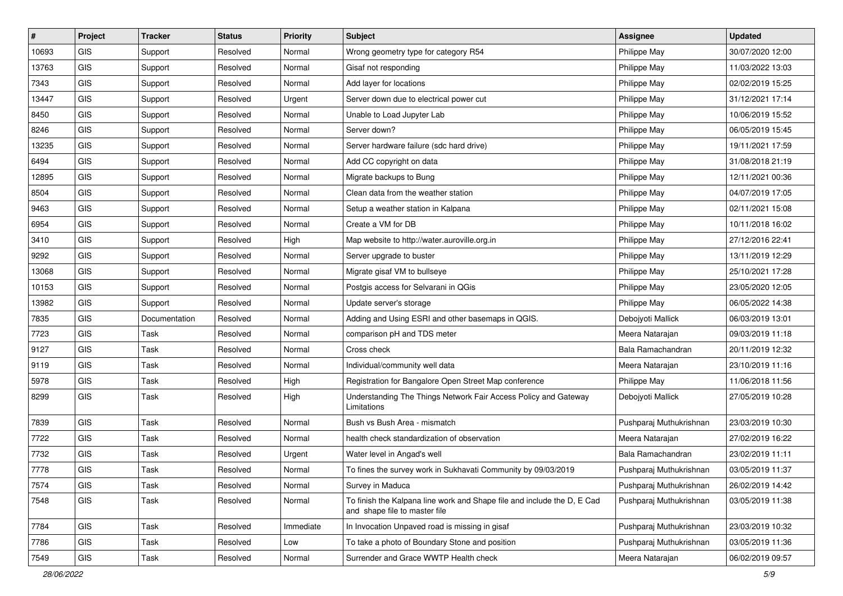| $\vert$ # | Project    | <b>Tracker</b> | <b>Status</b> | Priority  | <b>Subject</b>                                                                                           | <b>Assignee</b>         | <b>Updated</b>   |
|-----------|------------|----------------|---------------|-----------|----------------------------------------------------------------------------------------------------------|-------------------------|------------------|
| 10693     | <b>GIS</b> | Support        | Resolved      | Normal    | Wrong geometry type for category R54                                                                     | Philippe May            | 30/07/2020 12:00 |
| 13763     | <b>GIS</b> | Support        | Resolved      | Normal    | Gisaf not responding                                                                                     | Philippe May            | 11/03/2022 13:03 |
| 7343      | <b>GIS</b> | Support        | Resolved      | Normal    | Add layer for locations                                                                                  | Philippe May            | 02/02/2019 15:25 |
| 13447     | <b>GIS</b> | Support        | Resolved      | Urgent    | Server down due to electrical power cut                                                                  | Philippe May            | 31/12/2021 17:14 |
| 8450      | GIS        | Support        | Resolved      | Normal    | Unable to Load Jupyter Lab                                                                               | Philippe May            | 10/06/2019 15:52 |
| 8246      | <b>GIS</b> | Support        | Resolved      | Normal    | Server down?                                                                                             | Philippe May            | 06/05/2019 15:45 |
| 13235     | GIS        | Support        | Resolved      | Normal    | Server hardware failure (sdc hard drive)                                                                 | Philippe May            | 19/11/2021 17:59 |
| 6494      | <b>GIS</b> | Support        | Resolved      | Normal    | Add CC copyright on data                                                                                 | Philippe May            | 31/08/2018 21:19 |
| 12895     | GIS        | Support        | Resolved      | Normal    | Migrate backups to Bung                                                                                  | Philippe May            | 12/11/2021 00:36 |
| 8504      | GIS        | Support        | Resolved      | Normal    | Clean data from the weather station                                                                      | Philippe May            | 04/07/2019 17:05 |
| 9463      | <b>GIS</b> | Support        | Resolved      | Normal    | Setup a weather station in Kalpana                                                                       | Philippe May            | 02/11/2021 15:08 |
| 6954      | <b>GIS</b> | Support        | Resolved      | Normal    | Create a VM for DB                                                                                       | Philippe May            | 10/11/2018 16:02 |
| 3410      | <b>GIS</b> | Support        | Resolved      | High      | Map website to http://water.auroville.org.in                                                             | Philippe May            | 27/12/2016 22:41 |
| 9292      | GIS        | Support        | Resolved      | Normal    | Server upgrade to buster                                                                                 | Philippe May            | 13/11/2019 12:29 |
| 13068     | <b>GIS</b> | Support        | Resolved      | Normal    | Migrate gisaf VM to bullseye                                                                             | Philippe May            | 25/10/2021 17:28 |
| 10153     | <b>GIS</b> | Support        | Resolved      | Normal    | Postgis access for Selvarani in QGis                                                                     | Philippe May            | 23/05/2020 12:05 |
| 13982     | <b>GIS</b> | Support        | Resolved      | Normal    | Update server's storage                                                                                  | Philippe May            | 06/05/2022 14:38 |
| 7835      | GIS        | Documentation  | Resolved      | Normal    | Adding and Using ESRI and other basemaps in QGIS.                                                        | Debojyoti Mallick       | 06/03/2019 13:01 |
| 7723      | <b>GIS</b> | Task           | Resolved      | Normal    | comparison pH and TDS meter                                                                              | Meera Natarajan         | 09/03/2019 11:18 |
| 9127      | <b>GIS</b> | Task           | Resolved      | Normal    | Cross check                                                                                              | Bala Ramachandran       | 20/11/2019 12:32 |
| 9119      | <b>GIS</b> | Task           | Resolved      | Normal    | Individual/community well data                                                                           | Meera Natarajan         | 23/10/2019 11:16 |
| 5978      | GIS        | Task           | Resolved      | High      | Registration for Bangalore Open Street Map conference                                                    | Philippe May            | 11/06/2018 11:56 |
| 8299      | GIS        | Task           | Resolved      | High      | Understanding The Things Network Fair Access Policy and Gateway<br>Limitations                           | Debojyoti Mallick       | 27/05/2019 10:28 |
| 7839      | <b>GIS</b> | Task           | Resolved      | Normal    | Bush vs Bush Area - mismatch                                                                             | Pushparaj Muthukrishnan | 23/03/2019 10:30 |
| 7722      | GIS        | Task           | Resolved      | Normal    | health check standardization of observation                                                              | Meera Natarajan         | 27/02/2019 16:22 |
| 7732      | <b>GIS</b> | Task           | Resolved      | Urgent    | Water level in Angad's well                                                                              | Bala Ramachandran       | 23/02/2019 11:11 |
| 7778      | GIS        | Task           | Resolved      | Normal    | To fines the survey work in Sukhavati Community by 09/03/2019                                            | Pushparaj Muthukrishnan | 03/05/2019 11:37 |
| 7574      | GIS        | Task           | Resolved      | Normal    | Survey in Maduca                                                                                         | Pushparaj Muthukrishnan | 26/02/2019 14:42 |
| 7548      | GIS        | Task           | Resolved      | Normal    | To finish the Kalpana line work and Shape file and include the D, E Cad<br>and shape file to master file | Pushparaj Muthukrishnan | 03/05/2019 11:38 |
| 7784      | <b>GIS</b> | Task           | Resolved      | Immediate | In Invocation Unpaved road is missing in gisaf                                                           | Pushparaj Muthukrishnan | 23/03/2019 10:32 |
| 7786      | GIS        | Task           | Resolved      | Low       | To take a photo of Boundary Stone and position                                                           | Pushparaj Muthukrishnan | 03/05/2019 11:36 |
| 7549      | GIS        | Task           | Resolved      | Normal    | Surrender and Grace WWTP Health check                                                                    | Meera Natarajan         | 06/02/2019 09:57 |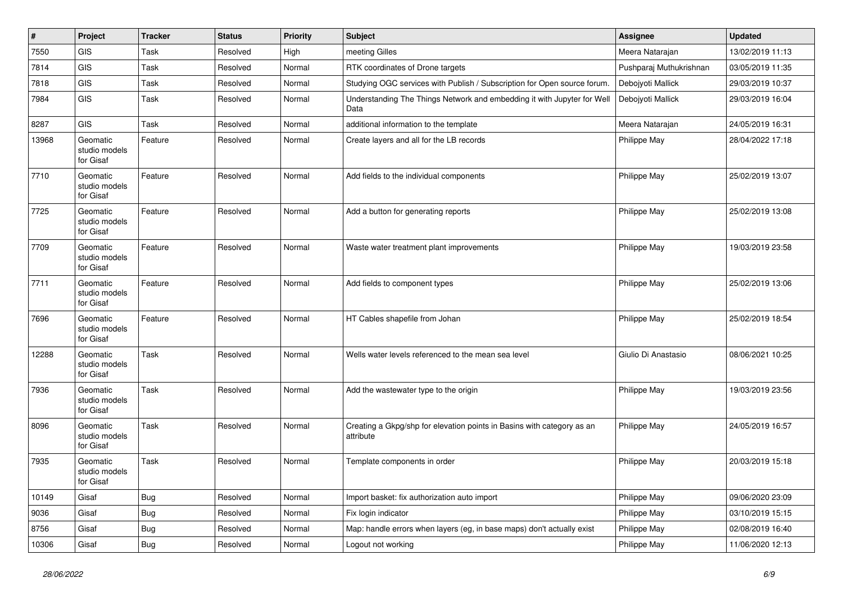| #     | Project                                | <b>Tracker</b> | <b>Status</b> | <b>Priority</b> | Subject                                                                             | <b>Assignee</b>         | <b>Updated</b>   |
|-------|----------------------------------------|----------------|---------------|-----------------|-------------------------------------------------------------------------------------|-------------------------|------------------|
| 7550  | GIS                                    | Task           | Resolved      | High            | meeting Gilles                                                                      | Meera Natarajan         | 13/02/2019 11:13 |
| 7814  | GIS                                    | Task           | Resolved      | Normal          | RTK coordinates of Drone targets                                                    | Pushparaj Muthukrishnan | 03/05/2019 11:35 |
| 7818  | GIS                                    | Task           | Resolved      | Normal          | Studying OGC services with Publish / Subscription for Open source forum.            | Debojyoti Mallick       | 29/03/2019 10:37 |
| 7984  | GIS                                    | Task           | Resolved      | Normal          | Understanding The Things Network and embedding it with Jupyter for Well<br>Data     | Debojyoti Mallick       | 29/03/2019 16:04 |
| 8287  | GIS                                    | Task           | Resolved      | Normal          | additional information to the template                                              | Meera Natarajan         | 24/05/2019 16:31 |
| 13968 | Geomatic<br>studio models<br>for Gisaf | Feature        | Resolved      | Normal          | Create layers and all for the LB records                                            | Philippe May            | 28/04/2022 17:18 |
| 7710  | Geomatic<br>studio models<br>for Gisaf | Feature        | Resolved      | Normal          | Add fields to the individual components                                             | Philippe May            | 25/02/2019 13:07 |
| 7725  | Geomatic<br>studio models<br>for Gisaf | Feature        | Resolved      | Normal          | Add a button for generating reports                                                 | Philippe May            | 25/02/2019 13:08 |
| 7709  | Geomatic<br>studio models<br>for Gisaf | Feature        | Resolved      | Normal          | Waste water treatment plant improvements                                            | Philippe May            | 19/03/2019 23:58 |
| 7711  | Geomatic<br>studio models<br>for Gisaf | Feature        | Resolved      | Normal          | Add fields to component types                                                       | Philippe May            | 25/02/2019 13:06 |
| 7696  | Geomatic<br>studio models<br>for Gisaf | Feature        | Resolved      | Normal          | HT Cables shapefile from Johan                                                      | Philippe May            | 25/02/2019 18:54 |
| 12288 | Geomatic<br>studio models<br>for Gisaf | Task           | Resolved      | Normal          | Wells water levels referenced to the mean sea level                                 | Giulio Di Anastasio     | 08/06/2021 10:25 |
| 7936  | Geomatic<br>studio models<br>for Gisaf | Task           | Resolved      | Normal          | Add the wastewater type to the origin                                               | Philippe May            | 19/03/2019 23:56 |
| 8096  | Geomatic<br>studio models<br>for Gisaf | Task           | Resolved      | Normal          | Creating a Gkpg/shp for elevation points in Basins with category as an<br>attribute | Philippe May            | 24/05/2019 16:57 |
| 7935  | Geomatic<br>studio models<br>for Gisaf | Task           | Resolved      | Normal          | Template components in order                                                        | Philippe May            | 20/03/2019 15:18 |
| 10149 | Gisaf                                  | <b>Bug</b>     | Resolved      | Normal          | Import basket: fix authorization auto import                                        | Philippe May            | 09/06/2020 23:09 |
| 9036  | Gisaf                                  | <b>Bug</b>     | Resolved      | Normal          | Fix login indicator                                                                 | Philippe May            | 03/10/2019 15:15 |
| 8756  | Gisaf                                  | <b>Bug</b>     | Resolved      | Normal          | Map: handle errors when layers (eg, in base maps) don't actually exist              | Philippe May            | 02/08/2019 16:40 |
| 10306 | Gisaf                                  | <b>Bug</b>     | Resolved      | Normal          | Logout not working                                                                  | Philippe May            | 11/06/2020 12:13 |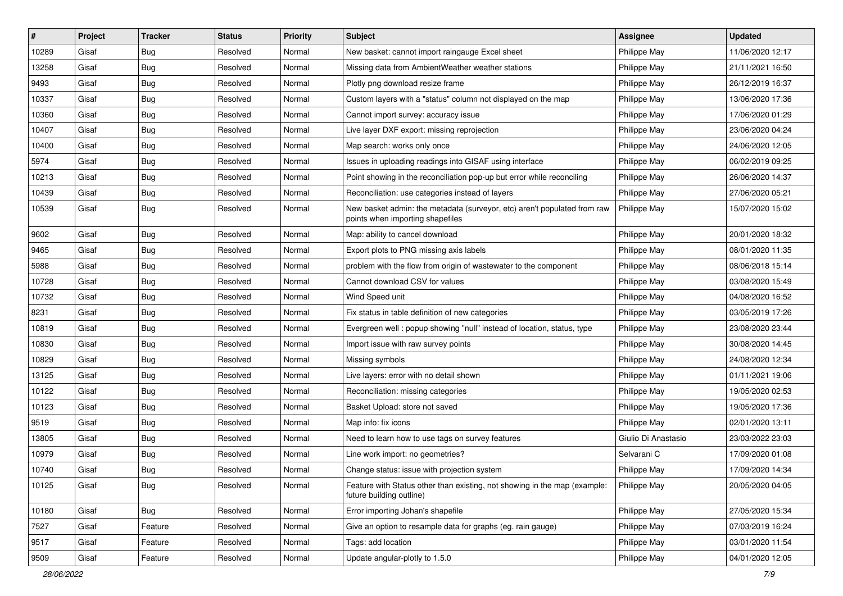| $\sharp$ | Project | <b>Tracker</b> | <b>Status</b> | Priority | <b>Subject</b>                                                                                               | <b>Assignee</b>     | <b>Updated</b>   |
|----------|---------|----------------|---------------|----------|--------------------------------------------------------------------------------------------------------------|---------------------|------------------|
| 10289    | Gisaf   | <b>Bug</b>     | Resolved      | Normal   | New basket: cannot import raingauge Excel sheet                                                              | Philippe May        | 11/06/2020 12:17 |
| 13258    | Gisaf   | Bug            | Resolved      | Normal   | Missing data from AmbientWeather weather stations                                                            | Philippe May        | 21/11/2021 16:50 |
| 9493     | Gisaf   | <b>Bug</b>     | Resolved      | Normal   | Plotly png download resize frame                                                                             | Philippe May        | 26/12/2019 16:37 |
| 10337    | Gisaf   | <b>Bug</b>     | Resolved      | Normal   | Custom layers with a "status" column not displayed on the map                                                | Philippe May        | 13/06/2020 17:36 |
| 10360    | Gisaf   | Bug            | Resolved      | Normal   | Cannot import survey: accuracy issue                                                                         | Philippe May        | 17/06/2020 01:29 |
| 10407    | Gisaf   | <b>Bug</b>     | Resolved      | Normal   | Live layer DXF export: missing reprojection                                                                  | Philippe May        | 23/06/2020 04:24 |
| 10400    | Gisaf   | Bug            | Resolved      | Normal   | Map search: works only once                                                                                  | Philippe May        | 24/06/2020 12:05 |
| 5974     | Gisaf   | <b>Bug</b>     | Resolved      | Normal   | Issues in uploading readings into GISAF using interface                                                      | <b>Philippe May</b> | 06/02/2019 09:25 |
| 10213    | Gisaf   | <b>Bug</b>     | Resolved      | Normal   | Point showing in the reconciliation pop-up but error while reconciling                                       | Philippe May        | 26/06/2020 14:37 |
| 10439    | Gisaf   | Bug            | Resolved      | Normal   | Reconciliation: use categories instead of layers                                                             | Philippe May        | 27/06/2020 05:21 |
| 10539    | Gisaf   | Bug            | Resolved      | Normal   | New basket admin: the metadata (surveyor, etc) aren't populated from raw<br>points when importing shapefiles | Philippe May        | 15/07/2020 15:02 |
| 9602     | Gisaf   | Bug            | Resolved      | Normal   | Map: ability to cancel download                                                                              | Philippe May        | 20/01/2020 18:32 |
| 9465     | Gisaf   | <b>Bug</b>     | Resolved      | Normal   | Export plots to PNG missing axis labels                                                                      | Philippe May        | 08/01/2020 11:35 |
| 5988     | Gisaf   | Bug            | Resolved      | Normal   | problem with the flow from origin of wastewater to the component                                             | Philippe May        | 08/06/2018 15:14 |
| 10728    | Gisaf   | <b>Bug</b>     | Resolved      | Normal   | Cannot download CSV for values                                                                               | Philippe May        | 03/08/2020 15:49 |
| 10732    | Gisaf   | <b>Bug</b>     | Resolved      | Normal   | Wind Speed unit                                                                                              | Philippe May        | 04/08/2020 16:52 |
| 8231     | Gisaf   | Bug            | Resolved      | Normal   | Fix status in table definition of new categories                                                             | Philippe May        | 03/05/2019 17:26 |
| 10819    | Gisaf   | <b>Bug</b>     | Resolved      | Normal   | Evergreen well: popup showing "null" instead of location, status, type                                       | Philippe May        | 23/08/2020 23:44 |
| 10830    | Gisaf   | <b>Bug</b>     | Resolved      | Normal   | Import issue with raw survey points                                                                          | Philippe May        | 30/08/2020 14:45 |
| 10829    | Gisaf   | <b>Bug</b>     | Resolved      | Normal   | Missing symbols                                                                                              | Philippe May        | 24/08/2020 12:34 |
| 13125    | Gisaf   | Bug            | Resolved      | Normal   | Live layers: error with no detail shown                                                                      | Philippe May        | 01/11/2021 19:06 |
| 10122    | Gisaf   | Bug            | Resolved      | Normal   | Reconciliation: missing categories                                                                           | Philippe May        | 19/05/2020 02:53 |
| 10123    | Gisaf   | <b>Bug</b>     | Resolved      | Normal   | Basket Upload: store not saved                                                                               | Philippe May        | 19/05/2020 17:36 |
| 9519     | Gisaf   | <b>Bug</b>     | Resolved      | Normal   | Map info: fix icons                                                                                          | Philippe May        | 02/01/2020 13:11 |
| 13805    | Gisaf   | <b>Bug</b>     | Resolved      | Normal   | Need to learn how to use tags on survey features                                                             | Giulio Di Anastasio | 23/03/2022 23:03 |
| 10979    | Gisaf   | Bug            | Resolved      | Normal   | Line work import: no geometries?                                                                             | Selvarani C         | 17/09/2020 01:08 |
| 10740    | Gisaf   | <b>Bug</b>     | Resolved      | Normal   | Change status: issue with projection system                                                                  | Philippe May        | 17/09/2020 14:34 |
| 10125    | Gisaf   | Bug            | Resolved      | Normal   | Feature with Status other than existing, not showing in the map (example:<br>future building outline)        | Philippe May        | 20/05/2020 04:05 |
| 10180    | Gisaf   | <b>Bug</b>     | Resolved      | Normal   | Error importing Johan's shapefile                                                                            | Philippe May        | 27/05/2020 15:34 |
| 7527     | Gisaf   | Feature        | Resolved      | Normal   | Give an option to resample data for graphs (eg. rain gauge)                                                  | Philippe May        | 07/03/2019 16:24 |
| 9517     | Gisaf   | Feature        | Resolved      | Normal   | Tags: add location                                                                                           | Philippe May        | 03/01/2020 11:54 |
| 9509     | Gisaf   | Feature        | Resolved      | Normal   | Update angular-plotly to 1.5.0                                                                               | Philippe May        | 04/01/2020 12:05 |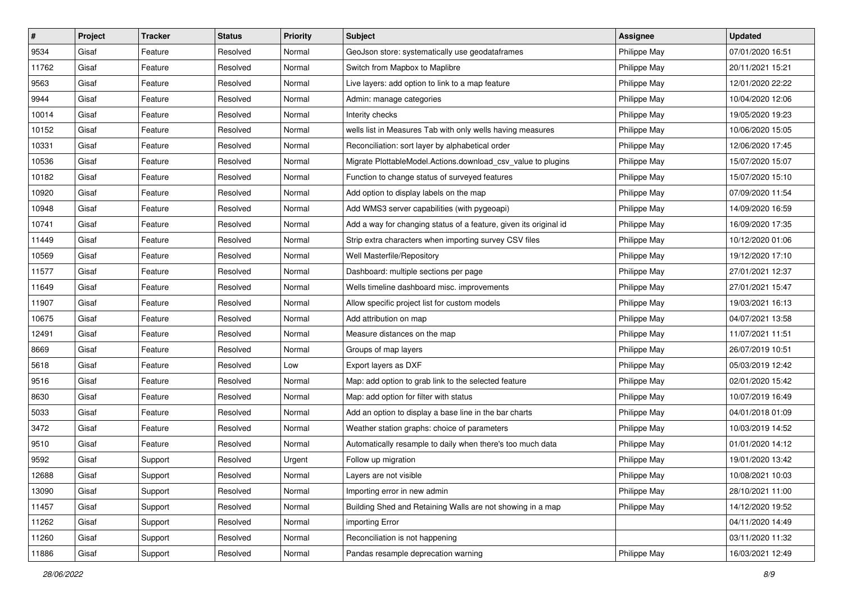| $\vert$ # | Project | <b>Tracker</b> | <b>Status</b> | <b>Priority</b> | <b>Subject</b>                                                    | <b>Assignee</b> | <b>Updated</b>   |
|-----------|---------|----------------|---------------|-----------------|-------------------------------------------------------------------|-----------------|------------------|
| 9534      | Gisaf   | Feature        | Resolved      | Normal          | GeoJson store: systematically use geodataframes                   | Philippe May    | 07/01/2020 16:51 |
| 11762     | Gisaf   | Feature        | Resolved      | Normal          | Switch from Mapbox to Maplibre                                    | Philippe May    | 20/11/2021 15:21 |
| 9563      | Gisaf   | Feature        | Resolved      | Normal          | Live layers: add option to link to a map feature                  | Philippe May    | 12/01/2020 22:22 |
| 9944      | Gisaf   | Feature        | Resolved      | Normal          | Admin: manage categories                                          | Philippe May    | 10/04/2020 12:06 |
| 10014     | Gisaf   | Feature        | Resolved      | Normal          | Interity checks                                                   | Philippe May    | 19/05/2020 19:23 |
| 10152     | Gisaf   | Feature        | Resolved      | Normal          | wells list in Measures Tab with only wells having measures        | Philippe May    | 10/06/2020 15:05 |
| 10331     | Gisaf   | Feature        | Resolved      | Normal          | Reconciliation: sort layer by alphabetical order                  | Philippe May    | 12/06/2020 17:45 |
| 10536     | Gisaf   | Feature        | Resolved      | Normal          | Migrate PlottableModel.Actions.download_csv_value to plugins      | Philippe May    | 15/07/2020 15:07 |
| 10182     | Gisaf   | Feature        | Resolved      | Normal          | Function to change status of surveyed features                    | Philippe May    | 15/07/2020 15:10 |
| 10920     | Gisaf   | Feature        | Resolved      | Normal          | Add option to display labels on the map                           | Philippe May    | 07/09/2020 11:54 |
| 10948     | Gisaf   | Feature        | Resolved      | Normal          | Add WMS3 server capabilities (with pygeoapi)                      | Philippe May    | 14/09/2020 16:59 |
| 10741     | Gisaf   | Feature        | Resolved      | Normal          | Add a way for changing status of a feature, given its original id | Philippe May    | 16/09/2020 17:35 |
| 11449     | Gisaf   | Feature        | Resolved      | Normal          | Strip extra characters when importing survey CSV files            | Philippe May    | 10/12/2020 01:06 |
| 10569     | Gisaf   | Feature        | Resolved      | Normal          | Well Masterfile/Repository                                        | Philippe May    | 19/12/2020 17:10 |
| 11577     | Gisaf   | Feature        | Resolved      | Normal          | Dashboard: multiple sections per page                             | Philippe May    | 27/01/2021 12:37 |
| 11649     | Gisaf   | Feature        | Resolved      | Normal          | Wells timeline dashboard misc. improvements                       | Philippe May    | 27/01/2021 15:47 |
| 11907     | Gisaf   | Feature        | Resolved      | Normal          | Allow specific project list for custom models                     | Philippe May    | 19/03/2021 16:13 |
| 10675     | Gisaf   | Feature        | Resolved      | Normal          | Add attribution on map                                            | Philippe May    | 04/07/2021 13:58 |
| 12491     | Gisaf   | Feature        | Resolved      | Normal          | Measure distances on the map                                      | Philippe May    | 11/07/2021 11:51 |
| 8669      | Gisaf   | Feature        | Resolved      | Normal          | Groups of map layers                                              | Philippe May    | 26/07/2019 10:51 |
| 5618      | Gisaf   | Feature        | Resolved      | Low             | Export layers as DXF                                              | Philippe May    | 05/03/2019 12:42 |
| 9516      | Gisaf   | Feature        | Resolved      | Normal          | Map: add option to grab link to the selected feature              | Philippe May    | 02/01/2020 15:42 |
| 8630      | Gisaf   | Feature        | Resolved      | Normal          | Map: add option for filter with status                            | Philippe May    | 10/07/2019 16:49 |
| 5033      | Gisaf   | Feature        | Resolved      | Normal          | Add an option to display a base line in the bar charts            | Philippe May    | 04/01/2018 01:09 |
| 3472      | Gisaf   | Feature        | Resolved      | Normal          | Weather station graphs: choice of parameters                      | Philippe May    | 10/03/2019 14:52 |
| 9510      | Gisaf   | Feature        | Resolved      | Normal          | Automatically resample to daily when there's too much data        | Philippe May    | 01/01/2020 14:12 |
| 9592      | Gisaf   | Support        | Resolved      | Urgent          | Follow up migration                                               | Philippe May    | 19/01/2020 13:42 |
| 12688     | Gisaf   | Support        | Resolved      | Normal          | Layers are not visible                                            | Philippe May    | 10/08/2021 10:03 |
| 13090     | Gisaf   | Support        | Resolved      | Normal          | Importing error in new admin                                      | Philippe May    | 28/10/2021 11:00 |
| 11457     | Gisaf   | Support        | Resolved      | Normal          | Building Shed and Retaining Walls are not showing in a map        | Philippe May    | 14/12/2020 19:52 |
| 11262     | Gisaf   | Support        | Resolved      | Normal          | importing Error                                                   |                 | 04/11/2020 14:49 |
| 11260     | Gisaf   | Support        | Resolved      | Normal          | Reconciliation is not happening                                   |                 | 03/11/2020 11:32 |
| 11886     | Gisaf   | Support        | Resolved      | Normal          | Pandas resample deprecation warning                               | Philippe May    | 16/03/2021 12:49 |